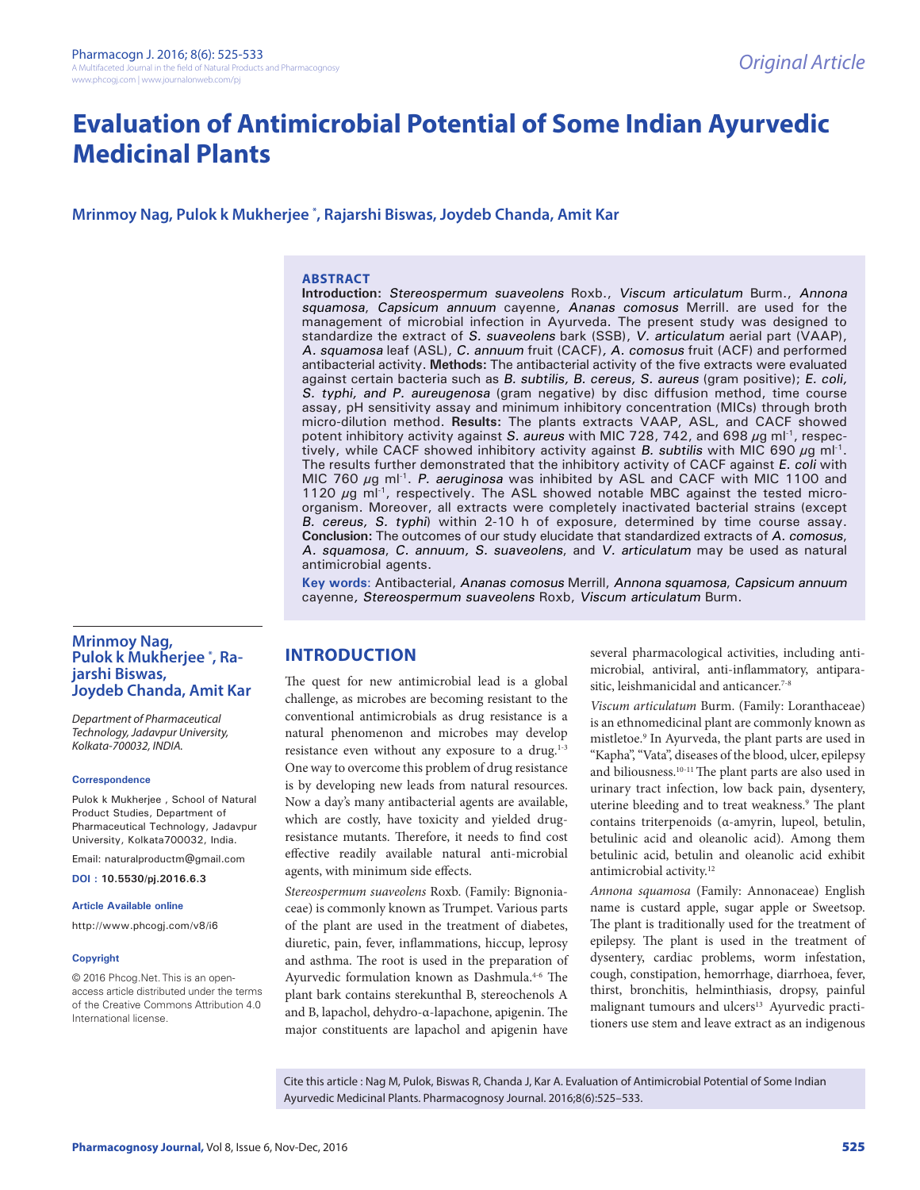# **Evaluation of Antimicrobial Potential of Some Indian Ayurvedic Medicinal Plants**

## **Mrinmoy Nag, Pulok k Mukherjee \* , Rajarshi Biswas, Joydeb Chanda, Amit Kar**

#### **ABSTRACT**

**Introduction:** Stereospermum suaveolens Roxb., Viscum articulatum Burm., Annona squamosa, Capsicum annuum cayenne, Ananas comosus Merrill. are used for the management of microbial infection in Ayurveda. The present study was designed to standardize the extract of S. suaveolens bark (SSB), V. articulatum aerial part (VAAP), A. squamosa leaf (ASL), C. annuum fruit (CACF), A. comosus fruit (ACF) and performed antibacterial activity. **Methods:** The antibacterial activity of the five extracts were evaluated against certain bacteria such as B. subtilis, B. cereus, S. aureus (gram positive); E. coli, S. typhi, and P. aureugenosa (gram negative) by disc diffusion method, time course assay, pH sensitivity assay and minimum inhibitory concentration (MICs) through broth micro-dilution method. **Results:** The plants extracts VAAP, ASL, and CACF showed potent inhibitory activity against S. aureus with MIC 728, 742, and 698  $\mu$ g ml<sup>-1</sup>, respectively, while CACF showed inhibitory activity against B. subtilis with MIC 690  $\mu$ g ml<sup>-1</sup>. The results further demonstrated that the inhibitory activity of CACF against E. coli with MIC 760  $\mu$ g ml<sup>-1</sup>. P. aeruginosa was inhibited by ASL and CACF with MIC 1100 and 1120  $\mu$ g ml<sup>-1</sup>, respectively. The ASL showed notable MBC against the tested microorganism. Moreover, all extracts were completely inactivated bacterial strains (except B. cereus, S. typhi) within 2-10 h of exposure, determined by time course assay. **Conclusion:** The outcomes of our study elucidate that standardized extracts of A. comosus, A. squamosa, C. annuum, S. suaveolens, and V. articulatum may be used as natural antimicrobial agents.

**Key words**: Antibacterial, Ananas comosus Merrill, Annona squamosa, Capsicum annuum cayenne, Stereospermum suaveolens Roxb, Viscum articulatum Burm.

## **Mrinmoy Nag, Pulok k Mukherjee \* , Rajarshi Biswas, Joydeb Chanda, Amit Kar**

*Department of Pharmaceutical Technology, Jadavpur University, Kolkata-700032, INDIA.*

#### **Correspondence**

Pulok k Mukherjee , School of Natural Product Studies, Department of Pharmaceutical Technology, Jadavpur University, Kolkata700032, India.

Email: naturalproductm@gmail.com

**DOI : 10.5530/pj.2016.6.3**

#### **Article Available online**

http://www.phcogj.com/v8/i6

#### **Copyright**

© 2016 Phcog.Net. This is an openaccess article distributed under the terms of the Creative Commons Attribution 4.0 International license.

# **INTRODUCTION**

The quest for new antimicrobial lead is a global challenge, as microbes are becoming resistant to the conventional antimicrobials as drug resistance is a natural phenomenon and microbes may develop resistance even without any exposure to a drug. $1-3$ One way to overcome this problem of drug resistance is by developing new leads from natural resources. Now a day's many antibacterial agents are available, which are costly, have toxicity and yielded drugresistance mutants. Therefore, it needs to find cost effective readily available natural anti-microbial agents, with minimum side effects.

*Stereospermum suaveolens* Roxb. (Family: Bignoniaceae) is commonly known as Trumpet. Various parts of the plant are used in the treatment of diabetes, diuretic, pain, fever, inflammations, hiccup, leprosy and asthma. The root is used in the preparation of Ayurvedic formulation known as Dashmula.<sup>4-6</sup> The plant bark contains sterekunthal B, stereochenols A and B, lapachol, dehydro-α-lapachone, apigenin. The major constituents are lapachol and apigenin have

several pharmacological activities, including antimicrobial, antiviral, anti-inflammatory, antiparasitic, leishmanicidal and anticancer.<sup>7-8</sup>

*Viscum articulatum* Burm. (Family: Loranthaceae) is an ethnomedicinal plant are commonly known as mistletoe.9 In Ayurveda, the plant parts are used in "Kapha", "Vata", diseases of the blood, ulcer, epilepsy and biliousness.10-11 The plant parts are also used in urinary tract infection, low back pain, dysentery, uterine bleeding and to treat weakness.<sup>9</sup> The plant contains triterpenoids (α-amyrin, lupeol, betulin, betulinic acid and oleanolic acid). Among them betulinic acid, betulin and oleanolic acid exhibit antimicrobial activity.12

*Annona squamosa* (Family: Annonaceae) English name is custard apple, sugar apple or Sweetsop. The plant is traditionally used for the treatment of epilepsy. The plant is used in the treatment of dysentery, cardiac problems, worm infestation, cough, constipation, hemorrhage, diarrhoea, fever, thirst, bronchitis, helminthiasis, dropsy, painful malignant tumours and ulcers<sup>13</sup> Ayurvedic practitioners use stem and leave extract as an indigenous

Cite this article : Nag M, Pulok, Biswas R, Chanda J, Kar A. Evaluation of Antimicrobial Potential of Some Indian Ayurvedic Medicinal Plants. Pharmacognosy Journal. 2016;8(6):525–533.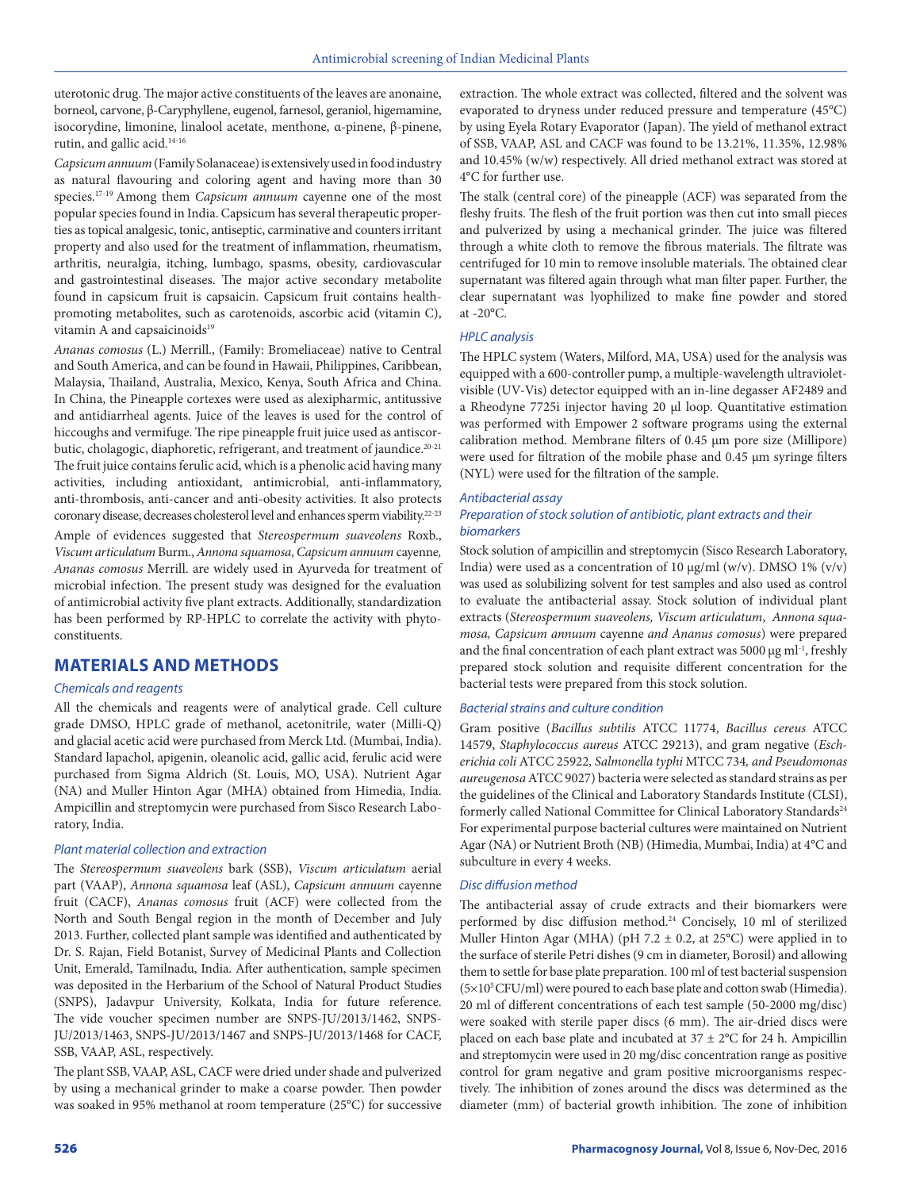uterotonic drug. The major active constituents of the leaves are anonaine, borneol, carvone, β-Caryphyllene, eugenol, farnesol, geraniol, higemamine, isocorydine, limonine, linalool acetate, menthone, α-pinene, β-pinene, rutin, and gallic acid.14-16

*Capsicum annuum* (Family Solanaceae) is extensively used in food industry as natural flavouring and coloring agent and having more than 30 species.17-19 Among them *Capsicum annuum* cayenne one of the most popular species found in India. Capsicum has several therapeutic properties as topical analgesic, tonic, antiseptic, carminative and counters irritant property and also used for the treatment of inflammation, rheumatism, arthritis, neuralgia, itching, lumbago, spasms, obesity, cardiovascular and gastrointestinal diseases. The major active secondary metabolite found in capsicum fruit is capsaicin. Capsicum fruit contains healthpromoting metabolites, such as carotenoids, ascorbic acid (vitamin C), vitamin A and capsaicinoids<sup>19</sup>

*Ananas comosus* (L.) Merrill., (Family: Bromeliaceae) native to Central and South America, and can be found in Hawaii, Philippines, Caribbean, Malaysia, Thailand, Australia, Mexico, Kenya, South Africa and China. In China, the Pineapple cortexes were used as alexipharmic, antitussive and antidiarrheal agents. Juice of the leaves is used for the control of hiccoughs and vermifuge. The ripe pineapple fruit juice used as antiscorbutic, cholagogic, diaphoretic, refrigerant, and treatment of jaundice.<sup>20-21</sup> The fruit juice contains ferulic acid, which is a phenolic acid having many activities, including antioxidant, antimicrobial, anti-inflammatory, anti-thrombosis, anti-cancer and anti-obesity activities. It also protects coronary disease, decreases cholesterol level and enhances sperm viability.22-23

Ample of evidences suggested that *Stereospermum suaveolens* Roxb., *Viscum articulatum* Burm., *Annona squamosa*, *Capsicum annuum* cayenne*, Ananas comosus* Merrill. are widely used in Ayurveda for treatment of microbial infection. The present study was designed for the evaluation of antimicrobial activity five plant extracts. Additionally, standardization has been performed by RP-HPLC to correlate the activity with phytoconstituents.

# **MATERIALS AND METHODS**

#### *Chemicals and reagents*

All the chemicals and reagents were of analytical grade. Cell culture grade DMSO, HPLC grade of methanol, acetonitrile, water (Milli-Q) and glacial acetic acid were purchased from Merck Ltd. (Mumbai, India). Standard lapachol, apigenin, oleanolic acid, gallic acid, ferulic acid were purchased from Sigma Aldrich (St. Louis, MO, USA). Nutrient Agar (NA) and Muller Hinton Agar (MHA) obtained from Himedia, India. Ampicillin and streptomycin were purchased from Sisco Research Laboratory, India.

#### *Plant material collection and extraction*

The *Stereospermum suaveolens* bark (SSB), *Viscum articulatum* aerial part (VAAP), *Annona squamosa* leaf (ASL), *Capsicum annuum* cayenne fruit (CACF), *Ananas comosus* fruit (ACF) were collected from the North and South Bengal region in the month of December and July 2013. Further, collected plant sample was identified and authenticated by Dr. S. Rajan, Field Botanist, Survey of Medicinal Plants and Collection Unit, Emerald, Tamilnadu, India. After authentication, sample specimen was deposited in the Herbarium of the School of Natural Product Studies (SNPS), Jadavpur University, Kolkata, India for future reference. The vide voucher specimen number are SNPS-JU/2013/1462, SNPS-JU/2013/1463, SNPS-JU/2013/1467 and SNPS-JU/2013/1468 for CACF, SSB, VAAP, ASL, respectively.

The plant SSB, VAAP, ASL, CACF were dried under shade and pulverized by using a mechanical grinder to make a coarse powder. Then powder was soaked in 95% methanol at room temperature (25°C) for successive extraction. The whole extract was collected, filtered and the solvent was evaporated to dryness under reduced pressure and temperature (45°C) by using Eyela Rotary Evaporator (Japan). The yield of methanol extract of SSB, VAAP, ASL and CACF was found to be 13.21%, 11.35%, 12.98% and 10.45% (w/w) respectively. All dried methanol extract was stored at 4°C for further use.

The stalk (central core) of the pineapple (ACF) was separated from the fleshy fruits. The flesh of the fruit portion was then cut into small pieces and pulverized by using a mechanical grinder. The juice was filtered through a white cloth to remove the fibrous materials. The filtrate was centrifuged for 10 min to remove insoluble materials. The obtained clear supernatant was filtered again through what man filter paper. Further, the clear supernatant was lyophilized to make fine powder and stored at  $-20^{\circ}$ C.

#### *HPLC analysis*

The HPLC system (Waters, Milford, MA, USA) used for the analysis was equipped with a 600-controller pump, a multiple-wavelength ultravioletvisible (UV-Vis) detector equipped with an in-line degasser AF2489 and a Rheodyne 7725i injector having 20 µl loop. Quantitative estimation was performed with Empower 2 software programs using the external calibration method. Membrane filters of 0.45 µm pore size (Millipore) were used for filtration of the mobile phase and 0.45 µm syringe filters (NYL) were used for the filtration of the sample.

#### *Antibacterial assay*

#### *Preparation of stock solution of antibiotic, plant extracts and their biomarkers*

Stock solution of ampicillin and streptomycin (Sisco Research Laboratory, India) were used as a concentration of 10  $\mu$ g/ml (w/v). DMSO 1% (v/v) was used as solubilizing solvent for test samples and also used as control to evaluate the antibacterial assay. Stock solution of individual plant extracts (*Stereospermum suaveolens, Viscum articulatum*, *Annona squamosa, Capsicum annuum* cayenne *and Ananus comosus*) were prepared and the final concentration of each plant extract was 5000 µg ml<sup>-1</sup>, freshly prepared stock solution and requisite different concentration for the bacterial tests were prepared from this stock solution.

#### *Bacterial strains and culture condition*

Gram positive (*Bacillus subtilis* ATCC 11774, *Bacillus cereus* ATCC 14579, *Staphylococcus aureus* ATCC 29213), and gram negative (*Escherichia coli* ATCC 25922*, Salmonella typhi* MTCC 734*, and Pseudomonas aureugenosa* ATCC 9027) bacteria were selected as standard strains as per the guidelines of the Clinical and Laboratory Standards Institute (CLSI), formerly called National Committee for Clinical Laboratory Standards<sup>24</sup> For experimental purpose bacterial cultures were maintained on Nutrient Agar (NA) or Nutrient Broth (NB) (Himedia, Mumbai, India) at 4°C and subculture in every 4 weeks.

#### *Disc diffusion method*

The antibacterial assay of crude extracts and their biomarkers were performed by disc diffusion method.<sup>24</sup> Concisely, 10 ml of sterilized Muller Hinton Agar (MHA) (pH 7.2  $\pm$  0.2, at 25°C) were applied in to the surface of sterile Petri dishes (9 cm in diameter, Borosil) and allowing them to settle for base plate preparation. 100 ml of test bacterial suspension  $(5\times10^{5}$  CFU/ml) were poured to each base plate and cotton swab (Himedia). 20 ml of different concentrations of each test sample (50-2000 mg/disc) were soaked with sterile paper discs (6 mm). The air-dried discs were placed on each base plate and incubated at  $37 \pm 2^{\circ}$ C for 24 h. Ampicillin and streptomycin were used in 20 mg/disc concentration range as positive control for gram negative and gram positive microorganisms respectively. The inhibition of zones around the discs was determined as the diameter (mm) of bacterial growth inhibition. The zone of inhibition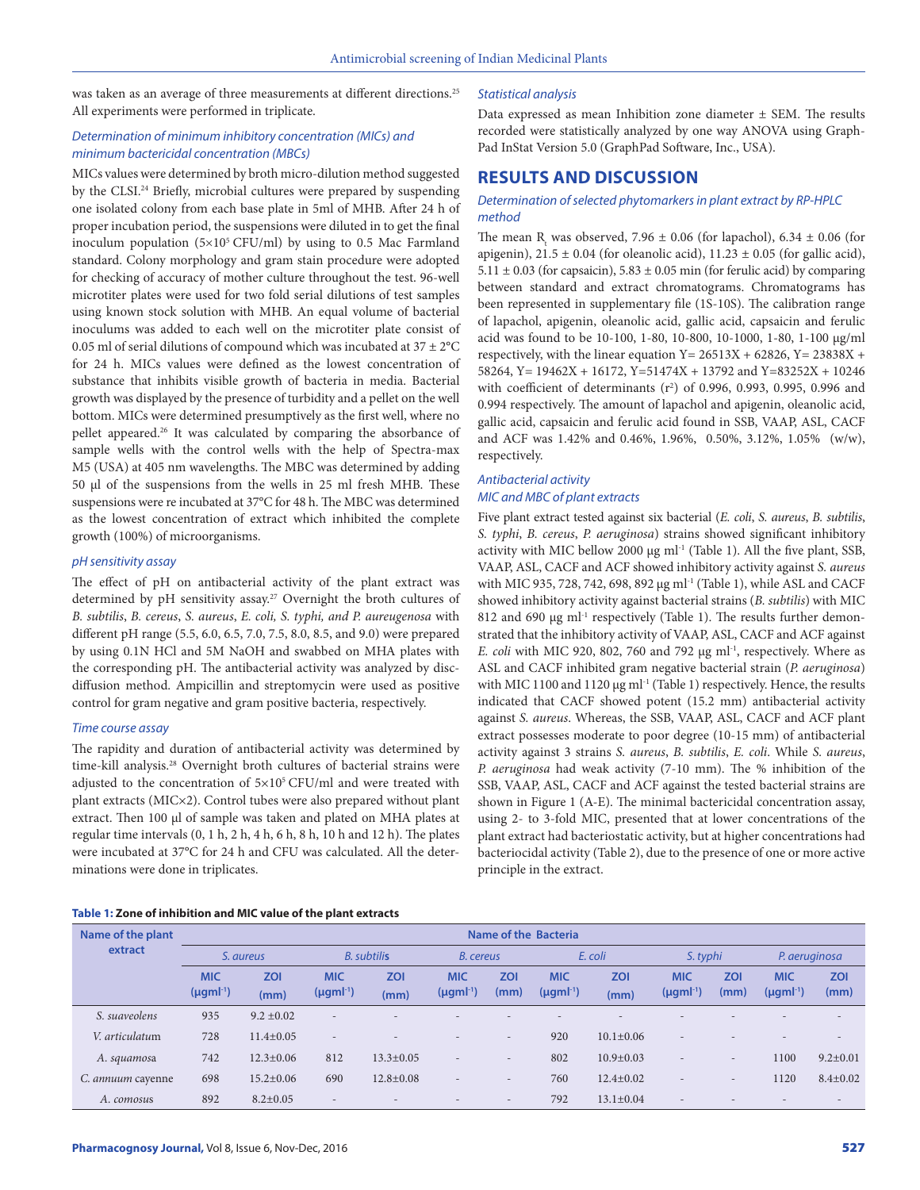was taken as an average of three measurements at different directions.<sup>25</sup> All experiments were performed in triplicate.

## *Determination of minimum inhibitory concentration (MICs) and minimum bactericidal concentration (MBCs)*

MICs values were determined by broth micro-dilution method suggested by the CLSI.<sup>24</sup> Briefly, microbial cultures were prepared by suspending one isolated colony from each base plate in 5ml of MHB. After 24 h of proper incubation period, the suspensions were diluted in to get the final inoculum population  $(5\times10^{5}$  CFU/ml) by using to 0.5 Mac Farmland standard. Colony morphology and gram stain procedure were adopted for checking of accuracy of mother culture throughout the test. 96-well microtiter plates were used for two fold serial dilutions of test samples using known stock solution with MHB. An equal volume of bacterial inoculums was added to each well on the microtiter plate consist of 0.05 ml of serial dilutions of compound which was incubated at 37  $\pm$  2°C for 24 h. MICs values were defined as the lowest concentration of substance that inhibits visible growth of bacteria in media. Bacterial growth was displayed by the presence of turbidity and a pellet on the well bottom. MICs were determined presumptively as the first well, where no pellet appeared.26 It was calculated by comparing the absorbance of sample wells with the control wells with the help of Spectra-max M5 (USA) at 405 nm wavelengths. The MBC was determined by adding 50 µl of the suspensions from the wells in 25 ml fresh MHB. These suspensions were re incubated at 37°C for 48 h. The MBC was determined as the lowest concentration of extract which inhibited the complete growth (100%) of microorganisms.

#### *pH sensitivity assay*

The effect of pH on antibacterial activity of the plant extract was determined by pH sensitivity assay.<sup>27</sup> Overnight the broth cultures of *B. subtilis*, *B. cereus*, *S. aureus*, *E. coli, S. typhi, and P. aureugenosa* with different pH range (5.5, 6.0, 6.5, 7.0, 7.5, 8.0, 8.5, and 9.0) were prepared by using 0.1N HCl and 5M NaOH and swabbed on MHA plates with the corresponding pH. The antibacterial activity was analyzed by discdiffusion method. Ampicillin and streptomycin were used as positive control for gram negative and gram positive bacteria, respectively.

#### *Time course assay*

The rapidity and duration of antibacterial activity was determined by time-kill analysis.<sup>28</sup> Overnight broth cultures of bacterial strains were adjusted to the concentration of  $5\times10^{5}$  CFU/ml and were treated with plant extracts (MIC×2). Control tubes were also prepared without plant extract. Then 100 µl of sample was taken and plated on MHA plates at regular time intervals (0, 1 h, 2 h, 4 h, 6 h, 8 h, 10 h and 12 h). The plates were incubated at 37°C for 24 h and CFU was calculated. All the determinations were done in triplicates.

### *Statistical analysis*

Data expressed as mean Inhibition zone diameter  $\pm$  SEM. The results recorded were statistically analyzed by one way ANOVA using Graph-Pad InStat Version 5.0 (GraphPad Software, Inc., USA).

# **RESULTS AND DISCUSSION**

#### *Determination of selected phytomarkers in plant extract by RP-HPLC method*

The mean R<sub>t</sub> was observed, 7.96  $\pm$  0.06 (for lapachol), 6.34  $\pm$  0.06 (for apigenin),  $21.5 \pm 0.04$  (for oleanolic acid),  $11.23 \pm 0.05$  (for gallic acid),  $5.11 \pm 0.03$  (for capsaicin),  $5.83 \pm 0.05$  min (for ferulic acid) by comparing between standard and extract chromatograms. Chromatograms has been represented in supplementary file (1S-10S). The calibration range of lapachol, apigenin, oleanolic acid, gallic acid, capsaicin and ferulic acid was found to be 10-100, 1-80, 10-800, 10-1000, 1-80, 1-100 μg/ml respectively, with the linear equation Y =  $26513X + 62826$ , Y =  $23838X +$ 58264, Y= 19462X + 16172, Y=51474X + 13792 and Y=83252X + 10246 with coefficient of determinants  $(r^2)$  of 0.996, 0.993, 0.995, 0.996 and 0.994 respectively. The amount of lapachol and apigenin, oleanolic acid, gallic acid, capsaicin and ferulic acid found in SSB, VAAP, ASL, CACF and ACF was 1.42% and 0.46%, 1.96%, 0.50%, 3.12%, 1.05% (w/w), respectively.

# *Antibacterial activity MIC and MBC of plant extracts*

Five plant extract tested against six bacterial (*E. coli*, *S. aureus*, *B. subtilis*, *S. typhi*, *B. cereus*, *P. aeruginosa*) strains showed significant inhibitory activity with MIC bellow 2000  $\mu$ g ml<sup>-1</sup> (Table 1). All the five plant, SSB, VAAP, ASL, CACF and ACF showed inhibitory activity against *S. aureus* with MIC 935, 728, 742, 698, 892 µg ml<sup>-1</sup> (Table 1), while ASL and CACF showed inhibitory activity against bacterial strains (*B. subtilis*) with MIC 812 and 690 µg ml<sup>-1</sup> respectively (Table 1). The results further demonstrated that the inhibitory activity of VAAP, ASL, CACF and ACF against *E. coli* with MIC 920, 802, 760 and 792 µg ml<sup>-1</sup>, respectively. Where as ASL and CACF inhibited gram negative bacterial strain (*P. aeruginosa*) with MIC 1100 and 1120 µg ml<sup>-1</sup> (Table 1) respectively. Hence, the results indicated that CACF showed potent (15.2 mm) antibacterial activity against *S. aureus*. Whereas, the SSB, VAAP, ASL, CACF and ACF plant extract possesses moderate to poor degree (10-15 mm) of antibacterial activity against 3 strains *S. aureus*, *B. subtilis*, *E. coli*. While *S. aureus*, *P. aeruginosa* had weak activity (7-10 mm). The % inhibition of the SSB, VAAP, ASL, CACF and ACF against the tested bacterial strains are shown in Figure 1 (A-E). The minimal bactericidal concentration assay, using 2- to 3-fold MIC, presented that at lower concentrations of the plant extract had bacteriostatic activity, but at higher concentrations had bacteriocidal activity (Table 2), due to the presence of one or more active principle in the extract.

## **Table 1: Zone of inhibition and MIC value of the plant extracts**

| Name of the plant | Name of the Bacteria           |                    |                                |                          |                                |                          |                                |                          |                                |                          |                                |                          |
|-------------------|--------------------------------|--------------------|--------------------------------|--------------------------|--------------------------------|--------------------------|--------------------------------|--------------------------|--------------------------------|--------------------------|--------------------------------|--------------------------|
| extract           | S. aureus                      |                    | <b>B.</b> subtilis             |                          | <b>B.</b> cereus               |                          | E. coli                        |                          | S. typhi                       |                          | P. aeruginosa                  |                          |
|                   | <b>MIC</b><br>$(\mu gml^{-1})$ | <b>ZOI</b><br>(mm) | <b>MIC</b><br>$(\mu gml^{-1})$ | <b>ZOI</b><br>(mm)       | <b>MIC</b><br>$(\mu gml^{-1})$ | <b>ZOI</b><br>(mm)       | <b>MIC</b><br>$(\mu gml^{-1})$ | <b>ZOI</b><br>(mm)       | <b>MIC</b><br>$(\mu gml^{-1})$ | <b>ZOI</b><br>(mm)       | <b>MIC</b><br>$(\mu gml^{-1})$ | <b>ZOI</b><br>(mm)       |
| S. suaveolens     | 935                            | $9.2 + 0.02$       | $\overline{\phantom{0}}$       | $\overline{\phantom{0}}$ | $\overline{a}$                 | $\overline{\phantom{a}}$ | $\overline{\phantom{0}}$       | $\overline{\phantom{a}}$ | $\overline{\phantom{a}}$       |                          | $\overline{\phantom{a}}$       | $\overline{\phantom{a}}$ |
| V. articulatum    | 728                            | $11.4 + 0.05$      | $\overline{\phantom{a}}$       |                          | $\overline{a}$                 | $\overline{a}$           | 920                            | $10.1 + 0.06$            | -                              |                          |                                | $\overline{\phantom{a}}$ |
| A. squamosa       | 742                            | $12.3 \pm 0.06$    | 812                            | $13.3 \pm 0.05$          | $\overline{\phantom{a}}$       | $\overline{\phantom{a}}$ | 802                            | $10.9 \pm 0.03$          | $\overline{\phantom{a}}$       | $\overline{\phantom{a}}$ | 1100                           | $9.2 \pm 0.01$           |
| C. annuum cayenne | 698                            | $15.2 + 0.06$      | 690                            | $12.8 \pm 0.08$          | $\overline{\phantom{a}}$       | $\overline{\phantom{a}}$ | 760                            | $12.4 \pm 0.02$          | -                              | $\overline{\phantom{a}}$ | 1120                           | $8.4 \pm 0.02$           |
| A. comosus        | 892                            | $8.2 \pm 0.05$     | $\overline{\phantom{a}}$       | $\overline{\phantom{a}}$ | $\overline{\phantom{a}}$       | $\overline{\phantom{a}}$ | 792                            | $13.1 + 0.04$            | $\overline{\phantom{a}}$       | $\overline{\phantom{a}}$ | $\overline{\phantom{a}}$       | $\overline{\phantom{a}}$ |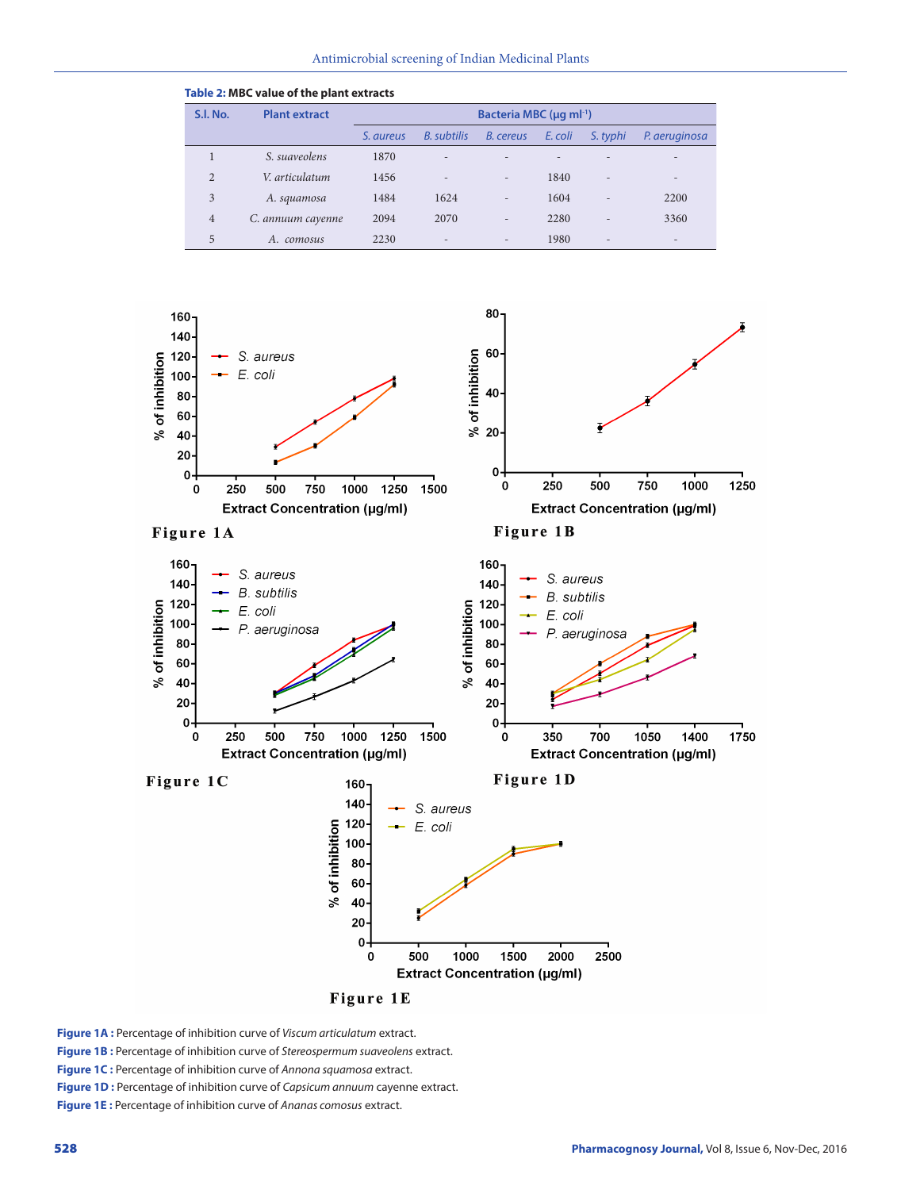| Table 2: MBC value of the plant extracts |                                                             |           |                          |                          |         |                          |                          |  |  |  |
|------------------------------------------|-------------------------------------------------------------|-----------|--------------------------|--------------------------|---------|--------------------------|--------------------------|--|--|--|
| S.I. No.                                 | <b>Plant extract</b><br>Bacteria MBC (µg ml <sup>-1</sup> ) |           |                          |                          |         |                          |                          |  |  |  |
|                                          |                                                             | S. aureus | <b>B.</b> subtilis       | B. cereus                | E. coli | S. typhi                 | P. aeruginosa            |  |  |  |
|                                          | S. suaveolens                                               | 1870      | $\overline{\phantom{0}}$ |                          |         |                          | $\overline{\phantom{a}}$ |  |  |  |
| 2                                        | V. articulatum                                              | 1456      | $\overline{\phantom{0}}$ | $\qquad \qquad$          | 1840    | $\overline{\phantom{0}}$ | $\overline{\phantom{a}}$ |  |  |  |
| 3                                        | A. squamosa                                                 | 1484      | 1624                     | $\overline{\phantom{a}}$ | 1604    | $\overline{\phantom{0}}$ | 2200                     |  |  |  |
| $\overline{4}$                           | C. annuum cayenne                                           | 2094      | 2070                     | $\overline{\phantom{m}}$ | 2280    | $\overline{\phantom{0}}$ | 3360                     |  |  |  |
| 5                                        | A.<br>comosus                                               | 2230      | $\qquad \qquad$          |                          | 1980    | $\overline{a}$           | $\overline{\phantom{a}}$ |  |  |  |



Figure 1E

**Figure 1A :** Percentage of inhibition curve of *Viscum articulatum* extract.

**Figure 1B :** Percentage of inhibition curve of *Stereospermum suaveolens* extract.

**Figure 1C :** Percentage of inhibition curve of *Annona squamosa* extract.

**Figure 1D :** Percentage of inhibition curve of *Capsicum annuum* cayenne extract.

**Figure 1E :** Percentage of inhibition curve of *Ananas comosus* extract.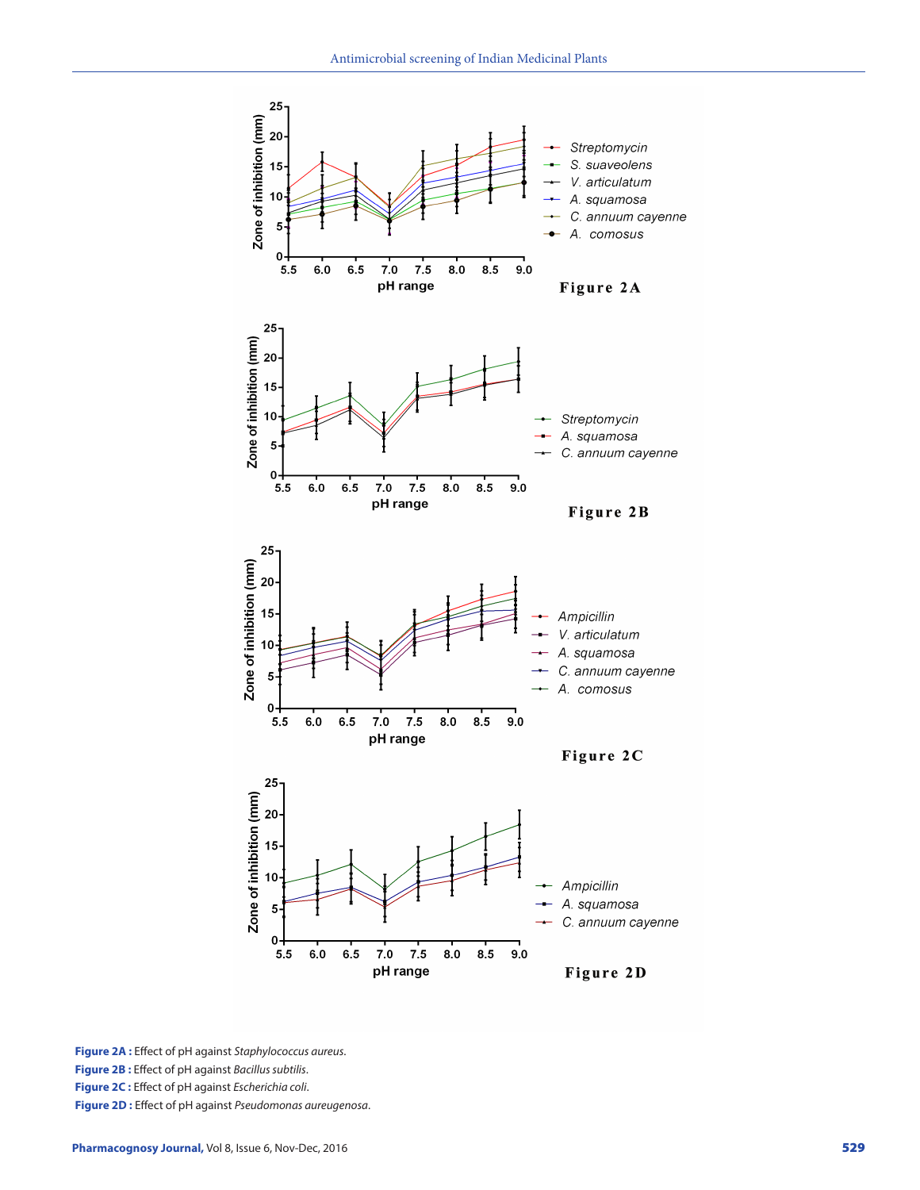

**Figure 2A :** Effect of pH against *Staphylococcus aureus* . **Figure 2B :** Effect of pH against *Bacillus subtilis* . **Figure 2C :** Effect of pH against *Escherichia coli* . **Figure 2D :** Effect of pH against *Pseudomonas aureugenosa* .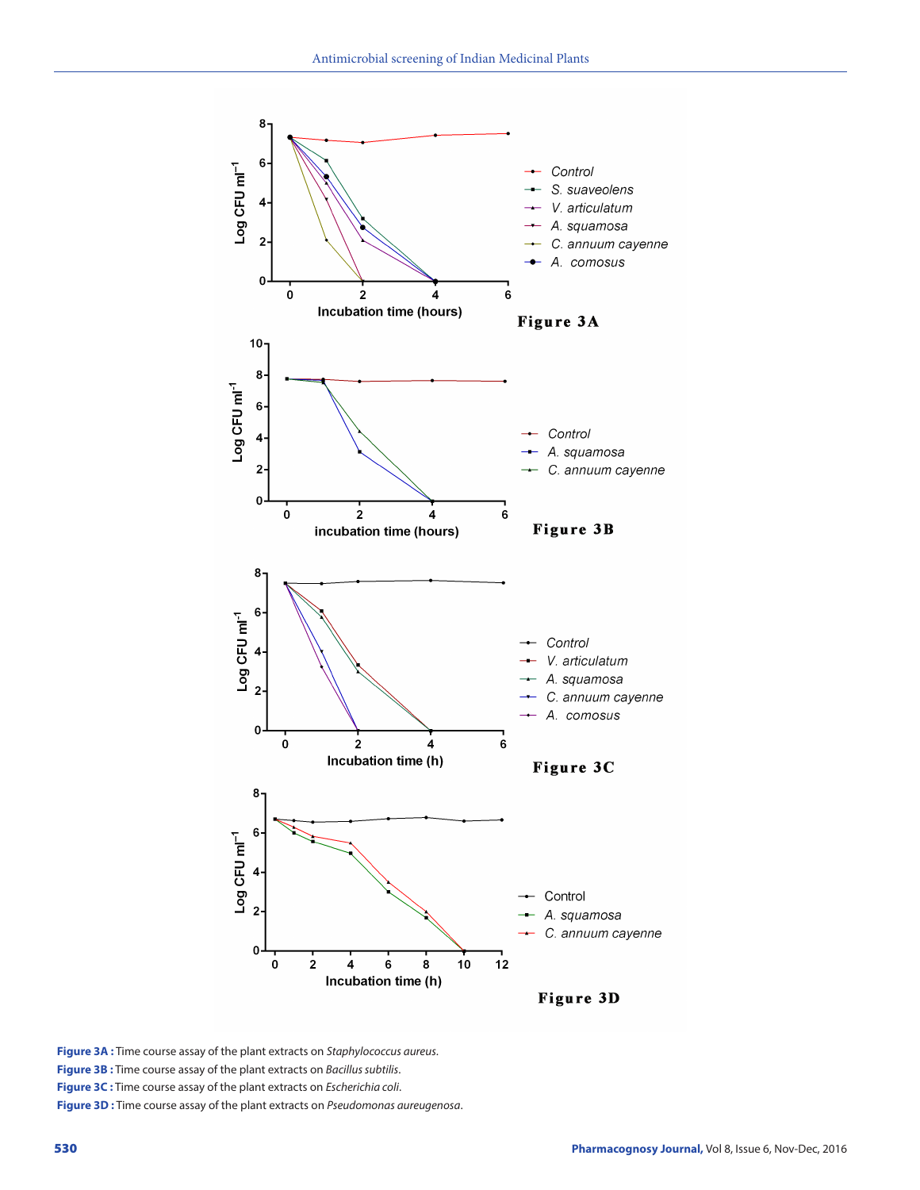

**Figure 3A :** Time course assay of the plant extracts on *Staphylococcus aureus*. **Figure 3B :** Time course assay of the plant extracts on *Bacillus subtilis*. **Figure 3C :** Time course assay of the plant extracts on *Escherichia coli*. **Figure 3D :** Time course assay of the plant extracts on *Pseudomonas aureugenosa*.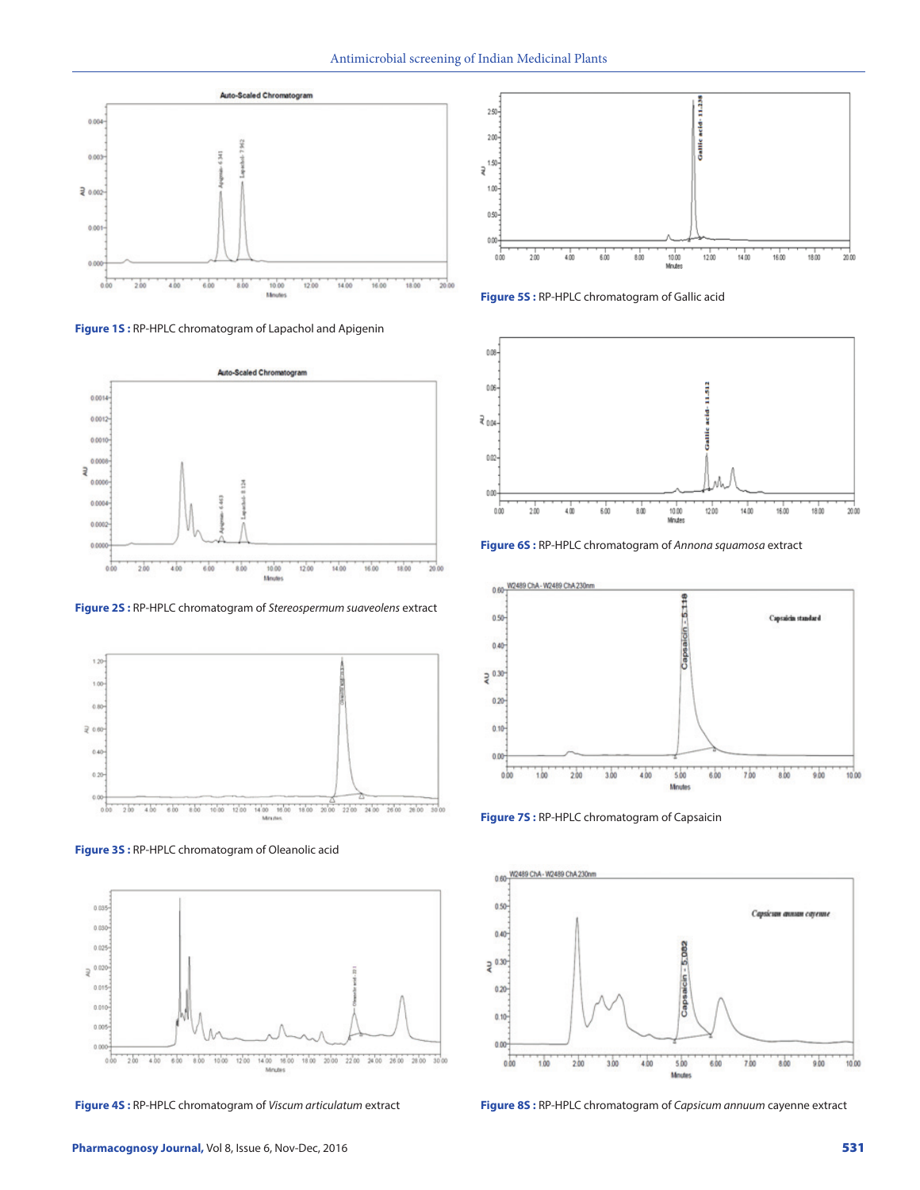

**Figure 1S :** RP-HPLC chromatogram of Lapachol and Apigenin



**Figure 2S :** RP-HPLC chromatogram of *Stereospermum suaveolens* extract



**Figure 3S :** RP-HPLC chromatogram of Oleanolic acid



**Figure 4S :** RP-HPLC chromatogram of *Viscum articulatum* extract



**Figure 5S :** RP-HPLC chromatogram of Gallic acid



**Figure 6S :** RP-HPLC chromatogram of *Annona squamosa* extract



**Figure 7S :** RP-HPLC chromatogram of Capsaicin



**Figure 8S :** RP-HPLC chromatogram of *Capsicum annuum* cayenne extract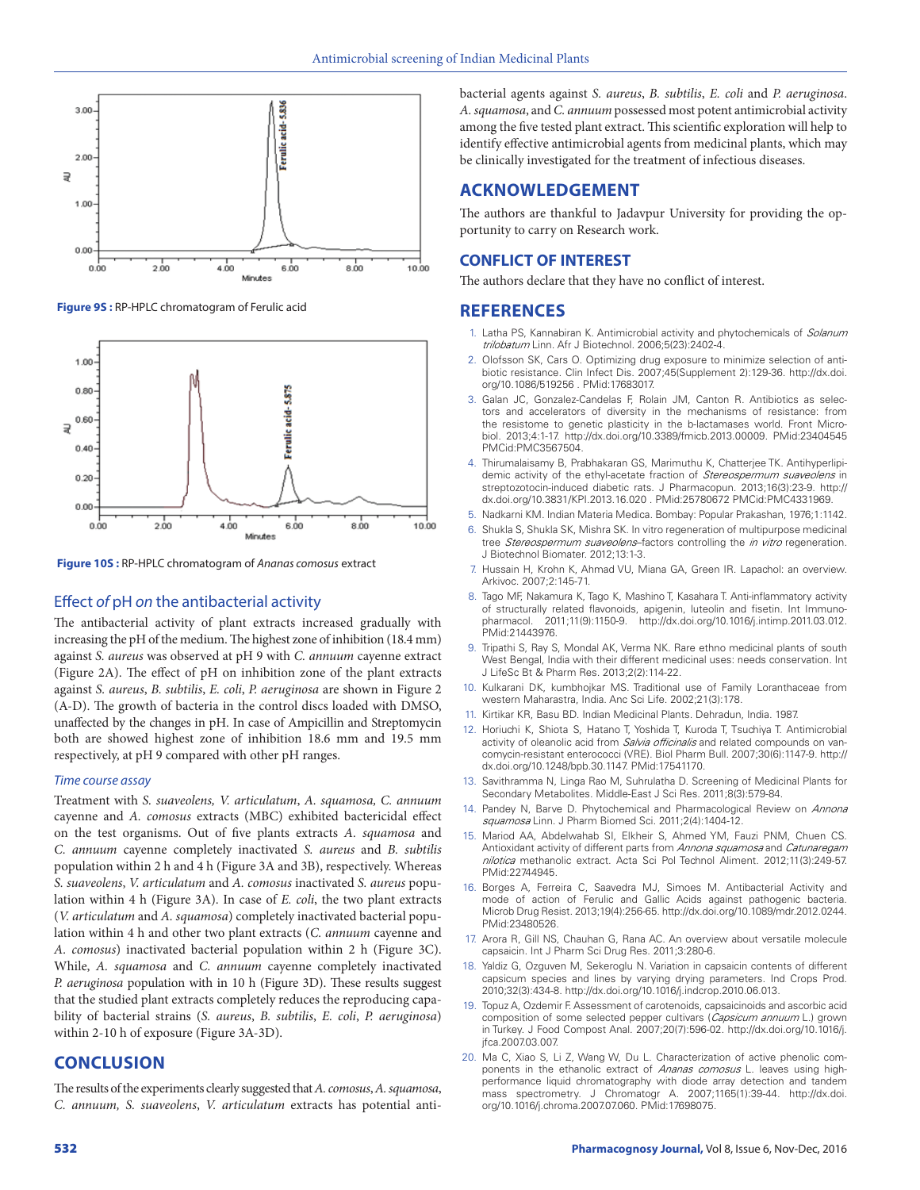

**Figure 9S :** RP-HPLC chromatogram of Ferulic acid



**Figure 10S :** RP-HPLC chromatogram of *Ananas comosus* extract

## Effect *of* pH *on* the antibacterial activity

The antibacterial activity of plant extracts increased gradually with increasing the pH of the medium. The highest zone of inhibition (18.4 mm) against *S. aureus* was observed at pH 9 with *C. annuum* cayenne extract (Figure 2A). The effect of pH on inhibition zone of the plant extracts against *S. aureus*, *B. subtilis*, *E. coli*, *P. aeruginosa* are shown in Figure 2 (A-D). The growth of bacteria in the control discs loaded with DMSO, unaffected by the changes in pH. In case of Ampicillin and Streptomycin both are showed highest zone of inhibition 18.6 mm and 19.5 mm respectively, at pH 9 compared with other pH ranges.

#### *Time course assay*

Treatment with *S. suaveolens, V. articulatum*, *A. squamosa, C. annuum*  cayenne and *A. comosus* extracts (MBC) exhibited bactericidal effect on the test organisms. Out of five plants extracts *A. squamosa* and *C. annuum* cayenne completely inactivated *S. aureus* and *B. subtilis* population within 2 h and 4 h (Figure 3A and 3B), respectively. Whereas *S. suaveolens*, *V. articulatum* and *A. comosus* inactivated *S. aureus* population within 4 h (Figure 3A). In case of *E. coli*, the two plant extracts (*V. articulatum* and *A. squamosa*) completely inactivated bacterial population within 4 h and other two plant extracts (*C. annuum* cayenne and *A. comosus*) inactivated bacterial population within 2 h (Figure 3C). While, *A. squamosa* and *C. annuum* cayenne completely inactivated *P. aeruginosa* population with in 10 h (Figure 3D). These results suggest that the studied plant extracts completely reduces the reproducing capability of bacterial strains (*S. aureus*, *B. subtilis*, *E. coli*, *P. aeruginosa*) within 2-10 h of exposure (Figure 3A-3D).

# **CONCLUSION**

The results of the experiments clearly suggested that *A. comosus*, *A. squamosa*, *C. annuum, S. suaveolens*, *V. articulatum* extracts has potential antibacterial agents against *S. aureus*, *B. subtilis*, *E. coli* and *P. aeruginosa*. *A. squamosa*, and *C. annuum* possessed most potent antimicrobial activity among the five tested plant extract. This scientific exploration will help to identify effective antimicrobial agents from medicinal plants, which may be clinically investigated for the treatment of infectious diseases.

# **ACKNOWLEDGEMENT**

The authors are thankful to Jadavpur University for providing the opportunity to carry on Research work.

## **CONFLICT OF INTEREST**

The authors declare that they have no conflict of interest.

# **REFERENCES**

- 1. Latha PS, Kannabiran K. Antimicrobial activity and phytochemicals of *Solanum trilobatum* Linn. Afr J Biotechnol. 2006;5(23):2402-4.
- 2. Olofsson SK, Cars O. Optimizing drug exposure to minimize selection of antibiotic resistance. Clin Infect Dis. 2007;45(Supplement 2):129-36. http://dx.doi. org/10.1086/519256 . PMid:17683017.
- 3. Galan JC, Gonzalez-Candelas F, Rolain JM, Canton R. Antibiotics as selectors and accelerators of diversity in the mechanisms of resistance: from the resistome to genetic plasticity in the b-lactamases world. Front Microbiol. 2013;4:1-17. http://dx.doi.org/10.3389/fmicb.2013.00009. PMid:23404545 PMCid:PMC3567504.
- 4. Thirumalaisamy B, Prabhakaran GS, Marimuthu K, Chatterjee TK. Antihyperlipidemic activity of the ethyl-acetate fraction of *Stereospermum suaveolens* in streptozotocin-induced diabetic rats. J Pharmacopun. 2013;16(3):23-9. http:// dx.doi.org/10.3831/KPI.2013.16.020 . PMid:25780672 PMCid:PMC4331969.
- 5. Nadkarni KM. Indian Materia Medica. Bombay: Popular Prakashan, 1976;1:1142.
- 6. Shukla S, Shukla SK, Mishra SK. In vitro regeneration of multipurpose medicinal tree *Stereospermum suaveolens*–factors controlling the *in vitro* regeneration. J Biotechnol Biomater. 2012;13:1-3.
- 7. Hussain H, Krohn K, Ahmad VU, Miana GA, Green IR. Lapachol: an overview. Arkivoc. 2007;2:145-71.
- 8. Tago MF, Nakamura K, Tago K, Mashino T, Kasahara T. Anti-inflammatory activity of structurally related flavonoids, apigenin, luteolin and fisetin. Int Immuno-<br>pharmacol. 2011;11(9):1150-9. http://dx.doi.org/10.1016/i.intimp.2011 03:012 pharmacol. 2011;11(9):1150-9. http://dx.doi.org/10.1016/j.intimp.2011.03.012. PMid:21443976.
- 9. Tripathi S, Ray S, Mondal AK, Verma NK. Rare ethno medicinal plants of south West Bengal, India with their different medicinal uses: needs conservation. Int J LifeSc Bt & Pharm Res. 2013;2(2):114-22.
- 10. Kulkarani DK, kumbhojkar MS. Traditional use of Family Loranthaceae from western Maharastra, India. Anc Sci Life. 2002;21(3):178.
- 11. Kirtikar KR, Basu BD. Indian Medicinal Plants. Dehradun, India. 1987.
- 12. Horiuchi K, Shiota S, Hatano T, Yoshida T, Kuroda T, Tsuchiya T. Antimicrobial activity of oleanolic acid from *Salvia officinalis* and related compounds on vancomycin-resistant enterococci (VRE). Biol Pharm Bull. 2007;30(6):1147-9. http:// dx.doi.org/10.1248/bpb.30.1147. PMid:17541170.
- 13. Savithramma N, Linga Rao M, Suhrulatha D. Screening of Medicinal Plants for Secondary Metabolites. Middle-East J Sci Res. 2011;8(3):579-84.
- 14. Pandey N, Barve D. Phytochemical and Pharmacological Review on *Annona squamosa* Linn. J Pharm Biomed Sci. 2011;2(4):1404-12.
- 15. Mariod AA, Abdelwahab SI, Elkheir S, Ahmed YM, Fauzi PNM, Chuen CS. Antioxidant activity of different parts from *Annona squamosa* and *Catunaregam nilotica* methanolic extract. Acta Sci Pol Technol Aliment. 2012;11(3):249-57. PMid:22744945.
- 16. Borges A, Ferreira C, Saavedra MJ, Simoes M. Antibacterial Activity and mode of action of Ferulic and Gallic Acids against pathogenic bacteria. Microb Drug Resist. 2013;19(4):256-65. http://dx.doi.org/10.1089/mdr.2012.0244. PMid:23480526.
- 17. Arora R, Gill NS, Chauhan G, Rana AC. An overview about versatile molecule capsaicin. Int J Pharm Sci Drug Res. 2011;3:280-6.
- 18. Yaldiz G, Ozguven M, Sekeroglu N. Variation in capsaicin contents of different capsicum species and lines by varying drying parameters. Ind Crops Prod. 2010;32(3):434-8. http://dx.doi.org/10.1016/j.indcrop.2010.06.013.
- 19. Topuz A, Ozdemir F. Assessment of carotenoids, capsaicinoids and ascorbic acid composition of some selected pepper cultivars (*Capsicum annuum* L.) grown in Turkey. J Food Compost Anal. 2007;20(7):596-02. http://dx.doi.org/10.1016/j. jfca.2007.03.007.
- 20. Ma C, Xiao S, Li Z, Wang W, Du L. Characterization of active phenolic components in the ethanolic extract of *Ananas comosus* L. leaves using highperformance liquid chromatography with diode array detection and tandem mass spectrometry. J Chromatogr A. 2007;1165(1):39-44. http://dx.doi. org/10.1016/j.chroma.2007.07.060. PMid:17698075.